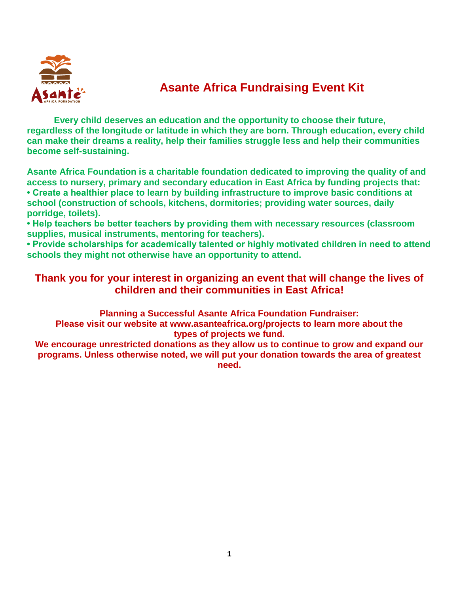

### **Asante Africa Fundraising Event Kit**

**Every child deserves an education and the opportunity to choose their future, regardless of the longitude or latitude in which they are born. Through education, every child can make their dreams a reality, help their families struggle less and help their communities become self-sustaining.**

**Asante Africa Foundation is a charitable foundation dedicated to improving the quality of and access to nursery, primary and secondary education in East Africa by funding projects that: • Create a healthier place to learn by building infrastructure to improve basic conditions at school (construction of schools, kitchens, dormitories; providing water sources, daily porridge, toilets).**

**• Help teachers be better teachers by providing them with necessary resources (classroom supplies, musical instruments, mentoring for teachers).**

**• Provide scholarships for academically talented or highly motivated children in need to attend schools they might not otherwise have an opportunity to attend.**

#### **Thank you for your interest in organizing an event that will change the lives of children and their communities in East Africa!**

**Planning a Successful Asante Africa Foundation Fundraiser:**

**Please visit our website at www.asanteafrica.org/projects to learn more about the types of projects we fund.**

**We encourage unrestricted donations as they allow us to continue to grow and expand our programs. Unless otherwise noted, we will put your donation towards the area of greatest need.**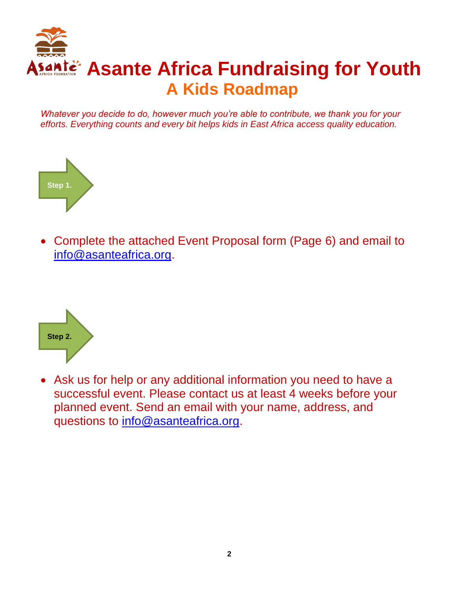

*Whatever you decide to do, however much you're able to contribute, we thank you for your efforts. Everything counts and every bit helps kids in East Africa access quality education.*



 Complete the attached Event Proposal form (Page 6) and email to [info@asanteafrica.org.](mailto:info@asanteafrica.org)



 Ask us for help or any additional information you need to have a successful event. Please contact us at least 4 weeks before your planned event. Send an email with your name, address, and questions to [info@asanteafrica.org.](mailto:info@asanteafrica.org)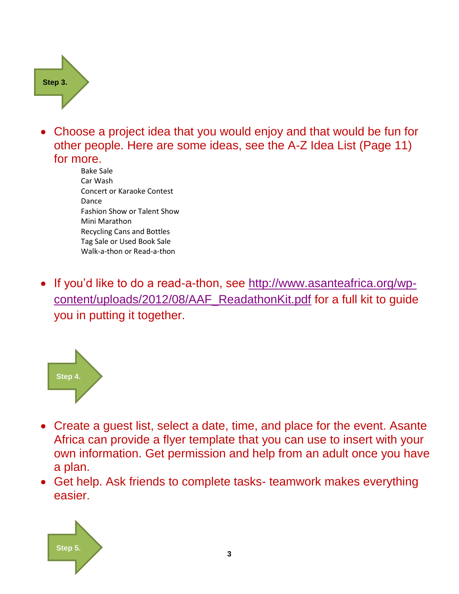**Step 3.**

- Choose a project idea that you would enjoy and that would be fun for other people. Here are some ideas, see the A-Z Idea List (Page 11) for more.
	- Bake Sale Car Wash Concert or Karaoke Contest Dance Fashion Show or Talent Show Mini Marathon Recycling Cans and Bottles Tag Sale or Used Book Sale Walk-a-thon or Read-a-thon
- If you'd like to do a read-a-thon, see [http://www.asanteafrica.org/wp](http://www.asanteafrica.org/wp-content/uploads/2012/08/AAF_ReadathonKit.pdf)[content/uploads/2012/08/AAF\\_ReadathonKit.pdf](http://www.asanteafrica.org/wp-content/uploads/2012/08/AAF_ReadathonKit.pdf) for a full kit to guide you in putting it together.



- Create a guest list, select a date, time, and place for the event. Asante Africa can provide a flyer template that you can use to insert with your own information. Get permission and help from an adult once you have a plan.
- Get help. Ask friends to complete tasks- teamwork makes everything easier.

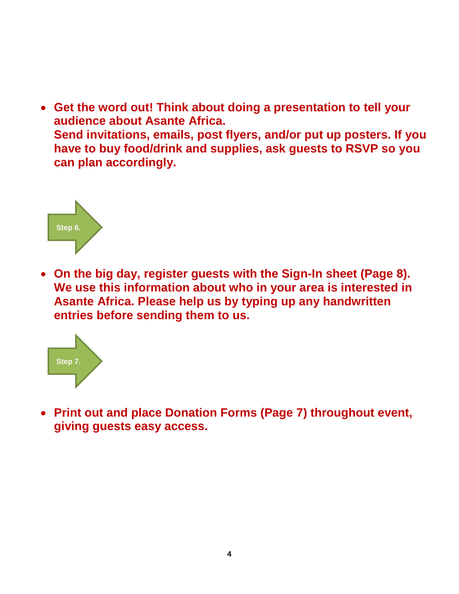**Get the word out! Think about doing a presentation to tell your audience about Asante Africa. Send invitations, emails, post flyers, and/or put up posters. If you have to buy food/drink and supplies, ask guests to RSVP so you can plan accordingly.**



 **On the big day, register guests with the Sign-In sheet (Page 8). We use this information about who in your area is interested in Asante Africa. Please help us by typing up any handwritten entries before sending them to us.**



 **Print out and place Donation Forms (Page 7) throughout event, giving guests easy access.**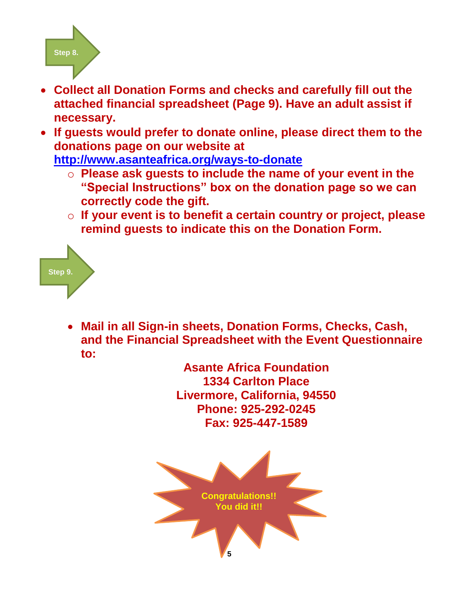

- **Collect all Donation Forms and checks and carefully fill out the attached financial spreadsheet (Page 9). Have an adult assist if necessary.**
- **If guests would prefer to donate online, please direct them to the donations page on our website at**

**<http://www.asanteafrica.org/ways-to-donate>**

- o **Please ask guests to include the name of your event in the "Special Instructions" box on the donation page so we can correctly code the gift.**
- o **If your event is to benefit a certain country or project, please remind guests to indicate this on the Donation Form.**



 **Mail in all Sign-in sheets, Donation Forms, Checks, Cash, and the Financial Spreadsheet with the Event Questionnaire to:**

**Asante Africa Foundation 1334 Carlton Place Livermore, California, 94550 Phone: 925-292-0245 Fax: 925-447-1589**

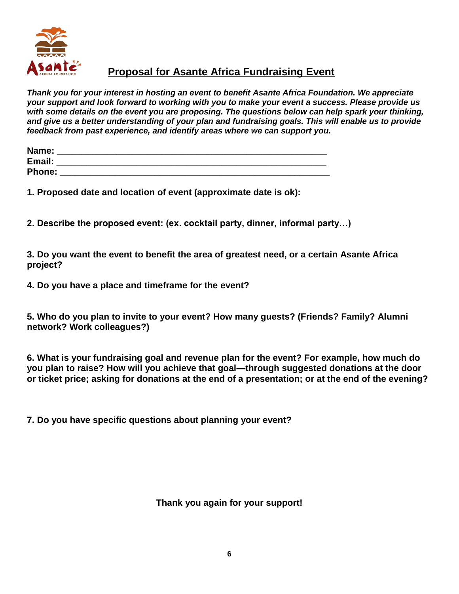

#### **Proposal for Asante Africa Fundraising Event**

*Thank you for your interest in hosting an event to benefit Asante Africa Foundation. We appreciate your support and look forward to working with you to make your event a success. Please provide us with some details on the event you are proposing. The questions below can help spark your thinking, and give us a better understanding of your plan and fundraising goals. This will enable us to provide feedback from past experience, and identify areas where we can support you.* 

| Name:         |  |
|---------------|--|
| Email:        |  |
| <b>Phone:</b> |  |

**1. Proposed date and location of event (approximate date is ok):** 

**2. Describe the proposed event: (ex. cocktail party, dinner, informal party…)** 

**3. Do you want the event to benefit the area of greatest need, or a certain Asante Africa project?** 

**4. Do you have a place and timeframe for the event?** 

**5. Who do you plan to invite to your event? How many guests? (Friends? Family? Alumni network? Work colleagues?)** 

**6. What is your fundraising goal and revenue plan for the event? For example, how much do you plan to raise? How will you achieve that goal—through suggested donations at the door or ticket price; asking for donations at the end of a presentation; or at the end of the evening?** 

**7. Do you have specific questions about planning your event?** 

**Thank you again for your support!**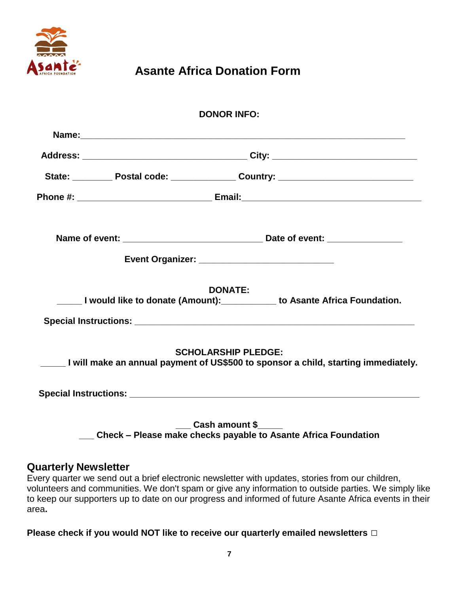

### **Asante Africa Donation Form**

|                                                 | <b>DONOR INFO:</b>         |                                                                                    |  |  |
|-------------------------------------------------|----------------------------|------------------------------------------------------------------------------------|--|--|
|                                                 |                            |                                                                                    |  |  |
|                                                 |                            |                                                                                    |  |  |
|                                                 |                            |                                                                                    |  |  |
|                                                 |                            |                                                                                    |  |  |
|                                                 |                            |                                                                                    |  |  |
| Event Organizer: ______________________________ |                            |                                                                                    |  |  |
|                                                 | <b>DONATE:</b>             | U would like to donate (Amount): ___________ to Asante Africa Foundation.          |  |  |
|                                                 |                            |                                                                                    |  |  |
|                                                 | <b>SCHOLARSHIP PLEDGE:</b> | I will make an annual payment of US\$500 to sponsor a child, starting immediately. |  |  |
|                                                 |                            |                                                                                    |  |  |
|                                                 | <b>Cash amount \$</b>      | Check - Please make checks payable to Asante Africa Foundation                     |  |  |

#### **Quarterly Newsletter**

Every quarter we send out a brief electronic newsletter with updates, stories from our children, volunteers and communities. We don't spam or give any information to outside parties. We simply like to keep our supporters up to date on our progress and informed of future Asante Africa events in their area**.** 

**Please check if you would NOT like to receive our quarterly emailed newsletters □**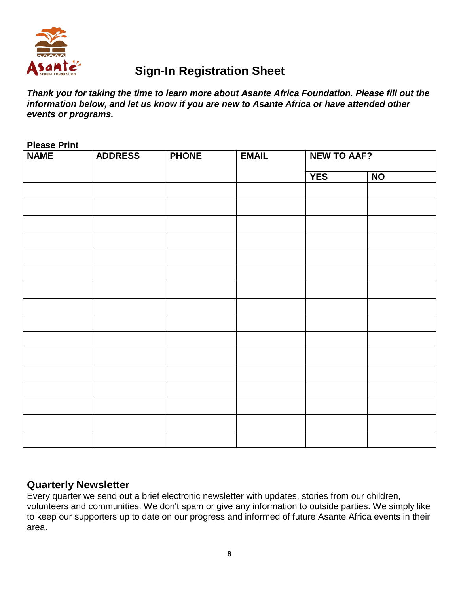

### **Sign-In Registration Sheet**

*Thank you for taking the time to learn more about Asante Africa Foundation. Please fill out the information below, and let us know if you are new to Asante Africa or have attended other events or programs.* 

| <b>NAME</b> | <b>ADDRESS</b> | <b>PHONE</b> | <b>EMAIL</b> | <b>NEW TO AAF?</b> |           |  |
|-------------|----------------|--------------|--------------|--------------------|-----------|--|
|             |                |              |              | <b>YES</b>         | <b>NO</b> |  |
|             |                |              |              |                    |           |  |
|             |                |              |              |                    |           |  |
|             |                |              |              |                    |           |  |
|             |                |              |              |                    |           |  |
|             |                |              |              |                    |           |  |
|             |                |              |              |                    |           |  |
|             |                |              |              |                    |           |  |
|             |                |              |              |                    |           |  |
|             |                |              |              |                    |           |  |
|             |                |              |              |                    |           |  |
|             |                |              |              |                    |           |  |
|             |                |              |              |                    |           |  |
|             |                |              |              |                    |           |  |
|             |                |              |              |                    |           |  |
|             |                |              |              |                    |           |  |
|             |                |              |              |                    |           |  |
|             |                |              |              |                    |           |  |

#### **Quarterly Newsletter**

Every quarter we send out a brief electronic newsletter with updates, stories from our children, volunteers and communities. We don't spam or give any information to outside parties. We simply like to keep our supporters up to date on our progress and informed of future Asante Africa events in their area.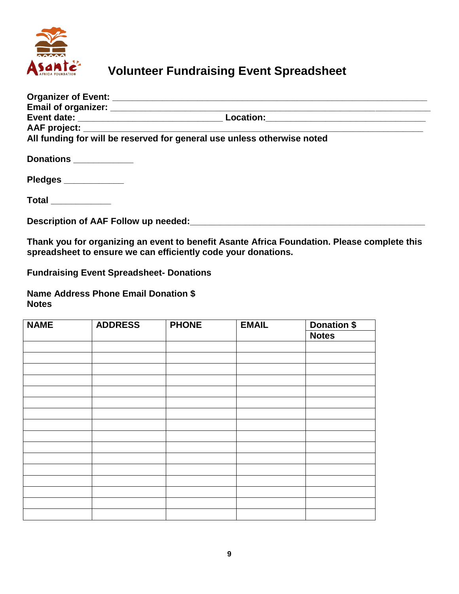

## **Volunteer Fundraising Event Spreadsheet**

|                        | All funding for will be reserved for general use unless otherwise noted                     |  |
|------------------------|---------------------------------------------------------------------------------------------|--|
| Donations ____________ |                                                                                             |  |
| Pledges ___________    |                                                                                             |  |
| $Total$ _____________  |                                                                                             |  |
|                        |                                                                                             |  |
|                        | Thank you for organizing an event to benefit Asante Africa Foundation. Please complete this |  |

**spreadsheet to ensure we can efficiently code your donations.** 

**Fundraising Event Spreadsheet- Donations** 

**Name Address Phone Email Donation \$ Notes** 

| <b>NAME</b> | <b>ADDRESS</b> | <b>PHONE</b> | <b>EMAIL</b> | <b>Donation \$</b> |
|-------------|----------------|--------------|--------------|--------------------|
|             |                |              |              | <b>Notes</b>       |
|             |                |              |              |                    |
|             |                |              |              |                    |
|             |                |              |              |                    |
|             |                |              |              |                    |
|             |                |              |              |                    |
|             |                |              |              |                    |
|             |                |              |              |                    |
|             |                |              |              |                    |
|             |                |              |              |                    |
|             |                |              |              |                    |
|             |                |              |              |                    |
|             |                |              |              |                    |
|             |                |              |              |                    |
|             |                |              |              |                    |
|             |                |              |              |                    |
|             |                |              |              |                    |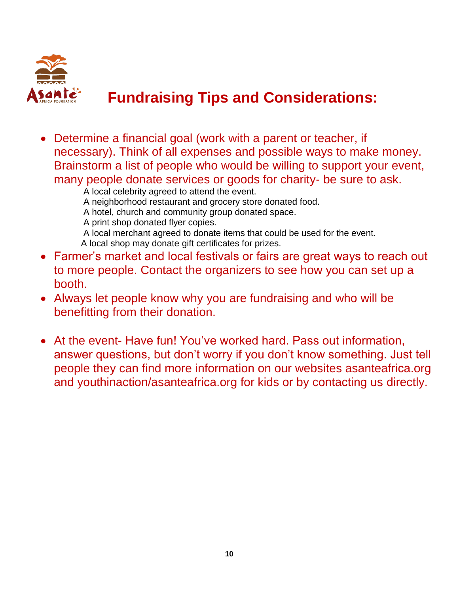

# **Fundraising Tips and Considerations:**

 Determine a financial goal (work with a parent or teacher, if necessary). Think of all expenses and possible ways to make money. Brainstorm a list of people who would be willing to support your event, many people donate services or goods for charity- be sure to ask.

A local celebrity agreed to attend the event.

A neighborhood restaurant and grocery store donated food.

- A hotel, church and community group donated space.
- A print shop donated flyer copies.

A local merchant agreed to donate items that could be used for the event. A local shop may donate gift certificates for prizes.

- Farmer's market and local festivals or fairs are great ways to reach out to more people. Contact the organizers to see how you can set up a booth.
- Always let people know why you are fundraising and who will be benefitting from their donation.
- At the event- Have fun! You've worked hard. Pass out information, answer questions, but don't worry if you don't know something. Just tell people they can find more information on our websites asanteafrica.org and youthinaction/asanteafrica.org for kids or by contacting us directly.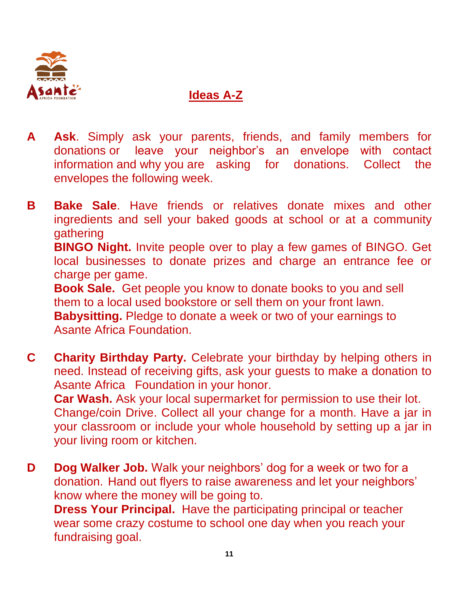

### **Ideas A-Z**

**A Ask**. Simply ask your parents, friends, and family members for donations or leave your neighbor's an envelope with contact information and why you are asking for donations. Collect the envelopes the following week.

**B Bake Sale**. Have friends or relatives donate mixes and other ingredients and sell your baked goods at school or at a community gathering **BINGO Night.** Invite people over to play a few games of BINGO. Get local businesses to donate prizes and charge an entrance fee or charge per game. **Book Sale.** Get people you know to donate books to you and sell them to a local used bookstore or sell them on your front lawn. **Babysitting.** Pledge to donate a week or two of your earnings to Asante Africa Foundation.

- **C Charity Birthday Party.** Celebrate your birthday by helping others in need. Instead of receiving gifts, ask your guests to make a donation to Asante Africa Foundation in your honor. **Car Wash.** Ask your local supermarket for permission to use their lot. Change/coin Drive. Collect all your change for a month. Have a jar in your classroom or include your whole household by setting up a jar in your living room or kitchen.
- **D Dog Walker Job.** Walk your neighbors' dog for a week or two for a donation. Hand out flyers to raise awareness and let your neighbors' know where the money will be going to. **Dress Your Principal.** Have the participating principal or teacher wear some crazy costume to school one day when you reach your fundraising goal.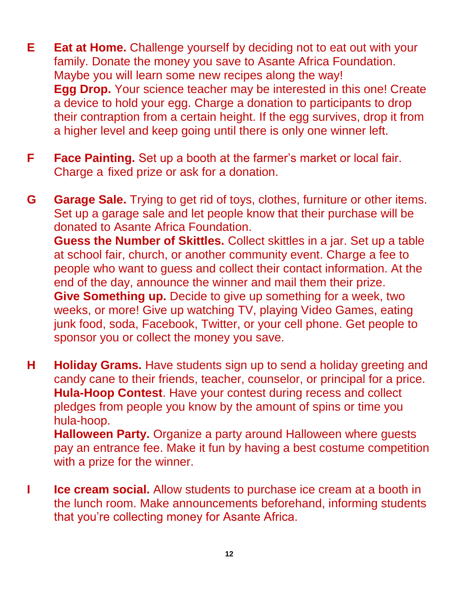- **E Eat at Home.** Challenge yourself by deciding not to eat out with your family. Donate the money you save to Asante Africa Foundation. Maybe you will learn some new recipes along the way! **Egg Drop.** Your science teacher may be interested in this one! Create a device to hold your egg. Charge a donation to participants to drop their contraption from a certain height. If the egg survives, drop it from a higher level and keep going until there is only one winner left.
- **F Face Painting.** Set up a booth at the farmer's market or local fair. Charge a fixed prize or ask for a donation.

**G Garage Sale.** Trying to get rid of toys, clothes, furniture or other items. Set up a garage sale and let people know that their purchase will be donated to Asante Africa Foundation. **Guess the Number of Skittles.** Collect skittles in a jar. Set up a table at school fair, church, or another community event. Charge a fee to people who want to guess and collect their contact information. At the end of the day, announce the winner and mail them their prize. **Give Something up.** Decide to give up something for a week, two weeks, or more! Give up watching TV, playing Video Games, eating junk food, soda, Facebook, Twitter, or your cell phone. Get people to sponsor you or collect the money you save.

**H Holiday Grams.** Have students sign up to send a holiday greeting and candy cane to their friends, teacher, counselor, or principal for a price. **Hula-Hoop Contest**. Have your contest during recess and collect pledges from people you know by the amount of spins or time you hula-hoop.

**Halloween Party.** Organize a party around Halloween where guests pay an entrance fee. Make it fun by having a best costume competition with a prize for the winner.

**I Ice cream social.** Allow students to purchase ice cream at a booth in the lunch room. Make announcements beforehand, informing students that you're collecting money for Asante Africa.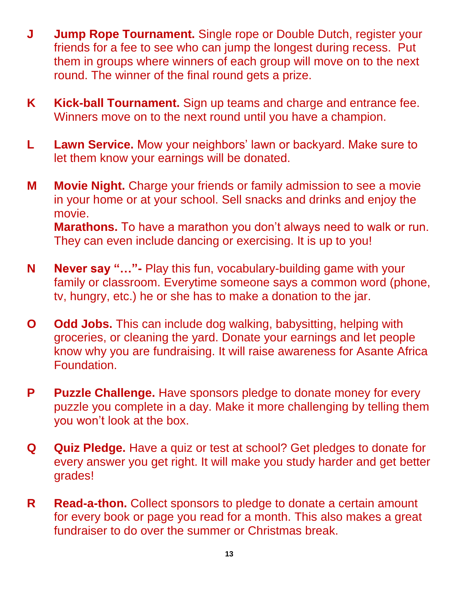- **J Jump Rope Tournament.** Single rope or Double Dutch, register your friends for a fee to see who can jump the longest during recess. Put them in groups where winners of each group will move on to the next round. The winner of the final round gets a prize.
- **K Kick-ball Tournament.** Sign up teams and charge and entrance fee. Winners move on to the next round until you have a champion.
- **L Lawn Service.** Mow your neighbors' lawn or backyard. Make sure to let them know your earnings will be donated.
- **M Movie Night.** Charge your friends or family admission to see a movie in your home or at your school. Sell snacks and drinks and enjoy the movie. **Marathons.** To have a marathon you don't always need to walk or run. They can even include dancing or exercising. It is up to you!
- **N Never say "…"-** Play this fun, vocabulary-building game with your family or classroom. Everytime someone says a common word (phone, tv, hungry, etc.) he or she has to make a donation to the jar.
- **O Odd Jobs.** This can include dog walking, babysitting, helping with groceries, or cleaning the yard. Donate your earnings and let people know why you are fundraising. It will raise awareness for Asante Africa Foundation.
- **P Puzzle Challenge.** Have sponsors pledge to donate money for every puzzle you complete in a day. Make it more challenging by telling them you won't look at the box.
- **Q Quiz Pledge.** Have a quiz or test at school? Get pledges to donate for every answer you get right. It will make you study harder and get better grades!
- **R Read-a-thon.** Collect sponsors to pledge to donate a certain amount for every book or page you read for a month. This also makes a great fundraiser to do over the summer or Christmas break.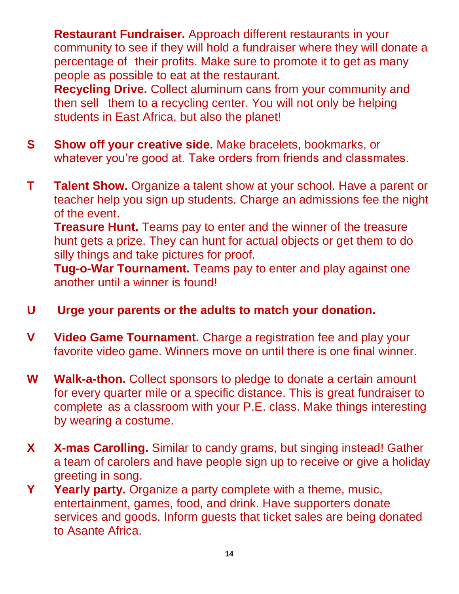**Restaurant Fundraiser.** Approach different restaurants in your community to see if they will hold a fundraiser where they will donate a percentage of their profits. Make sure to promote it to get as many people as possible to eat at the restaurant.

**Recycling Drive.** Collect aluminum cans from your community and then sell them to a recycling center. You will not only be helping students in East Africa, but also the planet!

- **S Show off your creative side.** Make bracelets, bookmarks, or whatever you're good at. Take orders from friends and classmates.
- **T Talent Show.** Organize a talent show at your school. Have a parent or teacher help you sign up students. Charge an admissions fee the night of the event.

**Treasure Hunt.** Teams pay to enter and the winner of the treasure hunt gets a prize. They can hunt for actual objects or get them to do silly things and take pictures for proof.

**Tug-o-War Tournament.** Teams pay to enter and play against one another until a winner is found!

- **U Urge your parents or the adults to match your donation.**
- **V Video Game Tournament.** Charge a registration fee and play your favorite video game. Winners move on until there is one final winner.
- **W Walk-a-thon.** Collect sponsors to pledge to donate a certain amount for every quarter mile or a specific distance. This is great fundraiser to complete as a classroom with your P.E. class. Make things interesting by wearing a costume.
- **X X-mas Carolling.** Similar to candy grams, but singing instead! Gather a team of carolers and have people sign up to receive or give a holiday greeting in song.
- **Y Yearly party.** Organize a party complete with a theme, music, entertainment, games, food, and drink. Have supporters donate services and goods. Inform guests that ticket sales are being donated to Asante Africa.